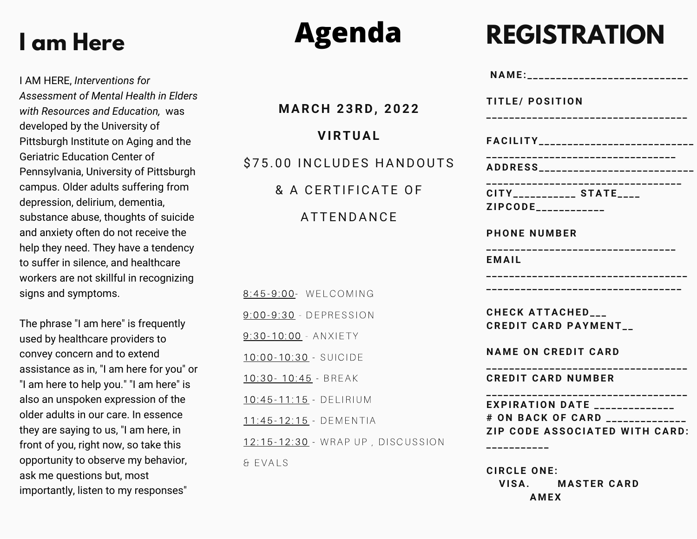#### **I am Here**

I AM HERE, *Interventions for Assessment of Mental Health in Elders with Resources and Education,* was developed by the University of Pittsburgh Institute on Aging and the Geriatric Education Center of Pennsylvania, University of Pittsburgh campus. Older adults suffering from depression, delirium, dementia, substance abuse, thoughts of suicide and anxiety often do not receive the help they need. They have a tendency to suffer in silence, and healthcare workers are not skillful in recognizing signs and symptoms.

The phrase "I am here" is frequently used by healthcare providers to convey concern and to extend assistance as in, "I am here for you" or "I am here to help you." "I am here" is also an unspoken expression of the older adults in our care. In essence they are saying to us, "I am here, in front of you, right now, so take this opportunity to observe my behavior, ask me questions but, most importantly, listen to my responses"

## **Agenda**

**M ARC H 2 3RD, 2 0 2 2 VIRTUAL** \$75.00 INCLUDES HANDOUTS & A CERTIFICATE OF **ATTENDANCE** 8:45-9:00- WELCOMING 9:00-9:30 - DEPRESSION 9:30-10:00 - ANXIETY 10:00-10:30 - SUICIDE 10:30 - 10:45 - BREAK 10:45-11:15 - DELIRIUM 11:45-12:15 - DEMENTIA 12:15-12:30 - WRAP UP, DISCUSSION & E VAL S

### **REGISTRATION**

| NAME:___________________________                                                                                                               |
|------------------------------------------------------------------------------------------------------------------------------------------------|
| TITLE/ POSITION<br>.______________________________                                                                                             |
| FACILITY___________________________                                                                                                            |
| --------------------------------<br>ADDRESS___________________________                                                                         |
| ------------<br>-------------<br>CITY____________ STATE____<br>ZIPCODE____________                                                             |
| <b>PHONE NUMBER</b>                                                                                                                            |
| .__________________________________<br>EMAIL                                                                                                   |
|                                                                                                                                                |
| CHECK ATTACHED<br><b>CREDIT CARD PAYMENT_</b>                                                                                                  |
| <b>NAME ON CREDIT CARD</b>                                                                                                                     |
| ---------------------<br><b>CREDIT CARD NUMBER</b>                                                                                             |
| ------------------------------------<br><b>EXPIRATION DATE</b> ______________<br># ON BACK OF CARD _________<br>ZIP CODE ASSOCIATED WITH CARD: |
| $C\ddot{D}C\ddot{C}$ $C\ddot{D}C\ddot{C}$                                                                                                      |

**CIRCL E O N E : VISA. M ASTER CARD A M EX**